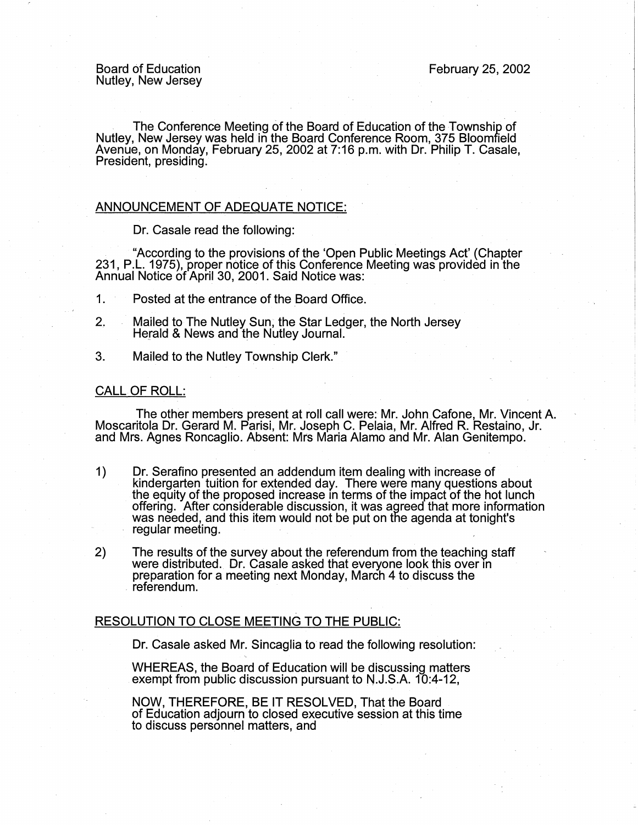. The Conference Meeting of the Board of Education of the Township of Nutley, New Jersey was held in the Board Conference Room, 375 Bloomfield Avenue, on Monday, February 25, 2002 at 7:16 p.m. with Dr. Philip T. Casale, President, presiding.

## ANNOUNCEMENT OF ADEQUATE NOTICE:

Dr. Casale read the following:

"According to the provisions of the 'Open Public Meetings Act' (Chapter 231, P.L. 1975), proper notice of this Conference Meeting was provided in the Annual Notice of April 30, 2001. Said Notice was:

- 1. Posted at the entrance of the Board Office.
- 2, Mailed to The Nutley Sun; the Star Ledger, the North Jersey Herald & News and the Nutley Journal.
- 3. Mailed to the Nutley Township Clerk."

## CALL OF ROLL:

The other members present at roll call were: Mr. John Cafone, Mr. Vincent A. Moscaritola Dr. Gerard M. Parisi, Mr. Joseph C. Pelaia, Mr. Alfred R. Restaino, Jr. and Mrs. Agnes Roncaglio. Absent: Mrs Maria Alamo and Mr. Alan Genitempo.

- 1) Dr. Serafino presented an addendum item dealing with increase of kindergarten tuition for extended day. There were many questions about the equity of the proposed increase m terms of the impact of the hot lunch offering. After considerable discussion, it was agreed that more information was needed, and this item would not be put on the agenda at tonight's regular meeting.
- 2) The results of the survey about the referendum from the teaching staff were distributed. Dr. Casale asked that everyone look this over in preparation for a meeting next Monday, March 4 to discuss the referendum.

## RESOLUTION TO CLOSE MEETING TO THE PUBLIC:

Dr. Casale asked Mr. Sincaglia to read the following resolution:

WHEREAS, the Board of Education will be discussing matters exempt from public discussion pursuant to N.J.S.A. 10:4-12,

NOW, THEREFORE, BE IT RESOLVED, That the Board of Education adjourn to closed executive session at this time to discuss personnel matters, and